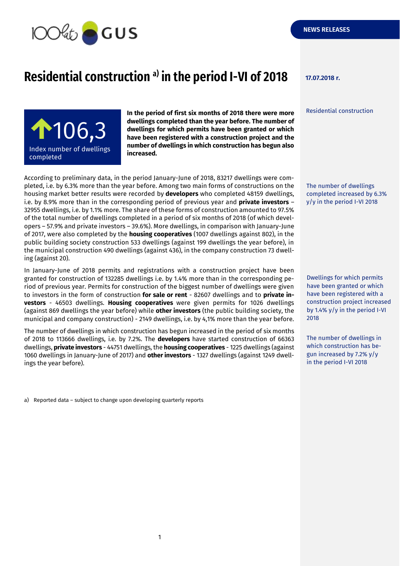

## **Residential construction 17.07.2018 r. a) in the period I-VI of 2018**

Residential construction



**In the period of first six months of 2018 there were more dwellings completed than the year before. The number of dwellings for which permits have been granted or which have been registered with a construction project and the number of dwellings in which construction has begun also increased.**

According to preliminary data, in the period January-June of 2018, 83217 dwellings were completed, i.e. by 6.3% more than the year before. Among two main forms of constructions on the housing market better results were recorded by **developers** who completed 48159 dwellings, i.e. by 8.9% more than in the corresponding period of previous year and **private investors** – 32955 dwellings, i.e. by 1.1% more. The share of these forms of construction amounted to 97.5% of the total number of dwellings completed in a period of six months of 2018 (of which developers – 57.9% and private investors – 39.6%). More dwellings, in comparison with January-June of 2017, were also completed by the **housing cooperatives** (1007 dwellings against 802), in the public building society construction 533 dwellings (against 199 dwellings the year before), in the municipal construction 490 dwellings (against 436), in the company construction 73 dwelling (against 20).

In January-June of 2018 permits and registrations with a construction project have been granted for construction of 132285 dwellings i.e. by 1.4% more than in the corresponding period of previous year. Permits for construction of the biggest number of dwellings were given to investors in the form of construction **for sale or rent** - 82607 dwellings and to **private investors** - 46503 dwellings. **Housing cooperatives** were given permits for 1026 dwellings (against 869 dwellings the year before) while **other investors** (the public building society, the municipal and company construction) - 2149 dwellings, i.e. by 4,1% more than the year before.

The number of dwellings in which construction has begun increased in the period of six months of 2018 to 113666 dwellings, i.e. by 7.2%. The **developers** have started construction of 66363 dwellings, **private investors** - 44751 dwellings, the **housing cooperatives** - 1225 dwellings (against 1060 dwellings in January-June of 2017) and **other investors** - 1327 dwellings (against 1249 dwellings the year before).

a) Reported data – subject to change upon developing quarterly reports

The number of dwellings completed increased by 6.3% y/y in the period I-VI 2018

Dwellings for which permits have been granted or which have been registered with a construction project increased by 1.4% y/y in the period I-VI 2018

The number of dwellings in which construction has begun increased by 7.2% y/y in the period I-VI 2018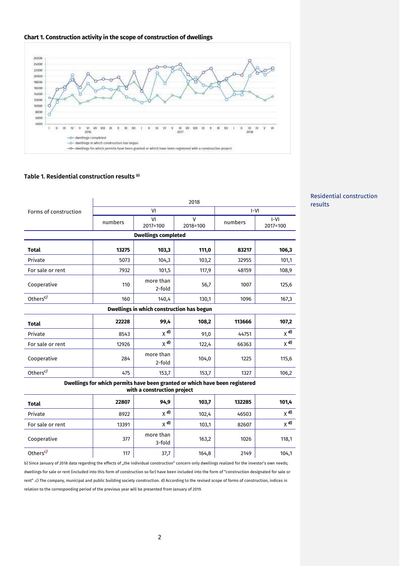



## **Table 1. Residential construction results** *<sup>b</sup>***)**

|                                                                                                            | 2018    |                     |                          |         |                    |  |  |  |  |
|------------------------------------------------------------------------------------------------------------|---------|---------------------|--------------------------|---------|--------------------|--|--|--|--|
| Forms of construction                                                                                      | VI      |                     |                          | $I-VI$  |                    |  |  |  |  |
|                                                                                                            | numbers | VI<br>2017=100      | $\mathsf{V}$<br>2018=100 | numbers | $ -V $<br>2017=100 |  |  |  |  |
| <b>Dwellings completed</b>                                                                                 |         |                     |                          |         |                    |  |  |  |  |
| Total                                                                                                      | 13275   | 103,3               | 111,0                    | 83217   | 106,3              |  |  |  |  |
| Private                                                                                                    | 5073    | 104,3               | 103,2                    | 32955   | 101,1              |  |  |  |  |
| For sale or rent                                                                                           | 7932    | 101,5               | 117,9                    | 48159   | 108,9              |  |  |  |  |
| Cooperative                                                                                                | 110     | more than<br>2-fold | 56,7                     | 1007    | 125,6              |  |  |  |  |
| Others <sup>c)</sup>                                                                                       | 160     | 140,4               | 130,1                    | 1096    | 167,3              |  |  |  |  |
| Dwellings in which construction has begun                                                                  |         |                     |                          |         |                    |  |  |  |  |
| <b>Total</b>                                                                                               | 22228   | 99,4                | 108,2                    | 113666  | 107,2              |  |  |  |  |
| Private                                                                                                    | 8543    | $X$ <sup>d)</sup>   | 91,0                     | 44751   | $X$ <sup>d)</sup>  |  |  |  |  |
| For sale or rent                                                                                           | 12926   | $X$ <sup>d)</sup>   | 122,4                    | 66363   | $X$ <sup>d)</sup>  |  |  |  |  |
| Cooperative                                                                                                | 284     | more than<br>2-fold | 104,0                    | 1225    | 115,6              |  |  |  |  |
| Others <sup>c)</sup>                                                                                       | 475     | 153,7               | 153,7                    | 1327    | 106,2              |  |  |  |  |
| Dwellings for which permits have been granted or which have been registered<br>with a construction project |         |                     |                          |         |                    |  |  |  |  |
| Total                                                                                                      | 22807   | 94,9                | 103,7                    | 132285  | 101,4              |  |  |  |  |

| <b>Total</b>         | 22807 | 94,9                | 103,7 | 132285 | 101,4             |
|----------------------|-------|---------------------|-------|--------|-------------------|
| Private              | 8922  | $X$ <sup>d)</sup>   | 102,4 | 46503  | $X$ <sup>d)</sup> |
| For sale or rent     | 13391 | $X$ <sup>d)</sup>   | 103,1 | 82607  | $X$ <sup>d)</sup> |
| Cooperative          | 377   | more than<br>3-fold | 163,2 | 1026   | 118,1             |
| Others <sup>c)</sup> | 117   | 37,7                | 164,8 | 2149   | 104,1             |

b) Since January of 2018 data regarding the effects of "the individual construction" concern only dwellings realized for the investor's own needs; dwellings for sale or rent (included into this form of construction so far) have been included into the form of "construction designated for sale or rent" .c) The company, municipal and public building society construction. d) According to the revised scope of forms of construction, indices in relation to the corresponding period of the previous year will be presented from January of 2019.

## Residential construction results